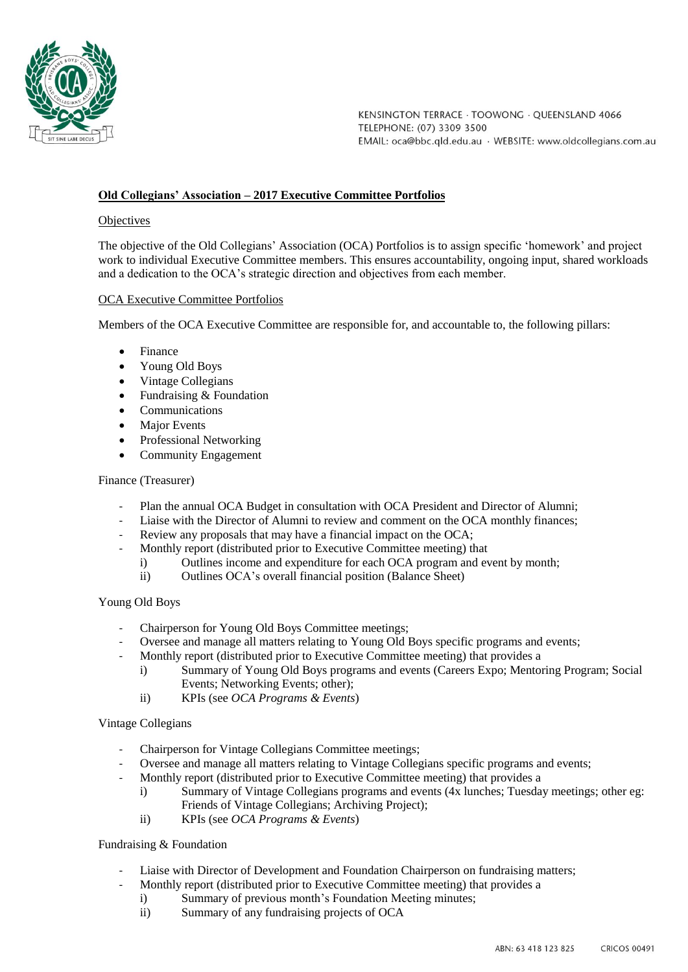

KENSINGTON TERRACE · TOOWONG · OUEENSLAND 4066 TELEPHONE: (07) 3309 3500 EMAIL: oca@bbc.qld.edu.au · WEBSITE: www.oldcollegians.com.au

# **Old Collegians' Association – 2017 Executive Committee Portfolios**

# **Objectives**

The objective of the Old Collegians' Association (OCA) Portfolios is to assign specific 'homework' and project work to individual Executive Committee members. This ensures accountability, ongoing input, shared workloads and a dedication to the OCA's strategic direction and objectives from each member.

## OCA Executive Committee Portfolios

Members of the OCA Executive Committee are responsible for, and accountable to, the following pillars:

- Finance
- Young Old Boys
- Vintage Collegians
- Fundraising & Foundation
- Communications
- Major Events
- Professional Networking
- Community Engagement

#### Finance (Treasurer)

- Plan the annual OCA Budget in consultation with OCA President and Director of Alumni;
- Liaise with the Director of Alumni to review and comment on the OCA monthly finances;
- Review any proposals that may have a financial impact on the OCA;
- Monthly report (distributed prior to Executive Committee meeting) that
	- i) Outlines income and expenditure for each OCA program and event by month;
		- ii) Outlines OCA's overall financial position (Balance Sheet)

#### Young Old Boys

- Chairperson for Young Old Boys Committee meetings;
- Oversee and manage all matters relating to Young Old Boys specific programs and events;
- Monthly report (distributed prior to Executive Committee meeting) that provides a
	- i) Summary of Young Old Boys programs and events (Careers Expo; Mentoring Program; Social Events; Networking Events; other);
	- ii) KPIs (see *OCA Programs & Events*)

#### Vintage Collegians

- Chairperson for Vintage Collegians Committee meetings;
- Oversee and manage all matters relating to Vintage Collegians specific programs and events;
- Monthly report (distributed prior to Executive Committee meeting) that provides a
	- i) Summary of Vintage Collegians programs and events (4x lunches; Tuesday meetings; other eg: Friends of Vintage Collegians; Archiving Project);
	- ii) KPIs (see *OCA Programs & Events*)

# Fundraising & Foundation

- Liaise with Director of Development and Foundation Chairperson on fundraising matters;
- Monthly report (distributed prior to Executive Committee meeting) that provides a
	- i) Summary of previous month's Foundation Meeting minutes;
	- ii) Summary of any fundraising projects of OCA